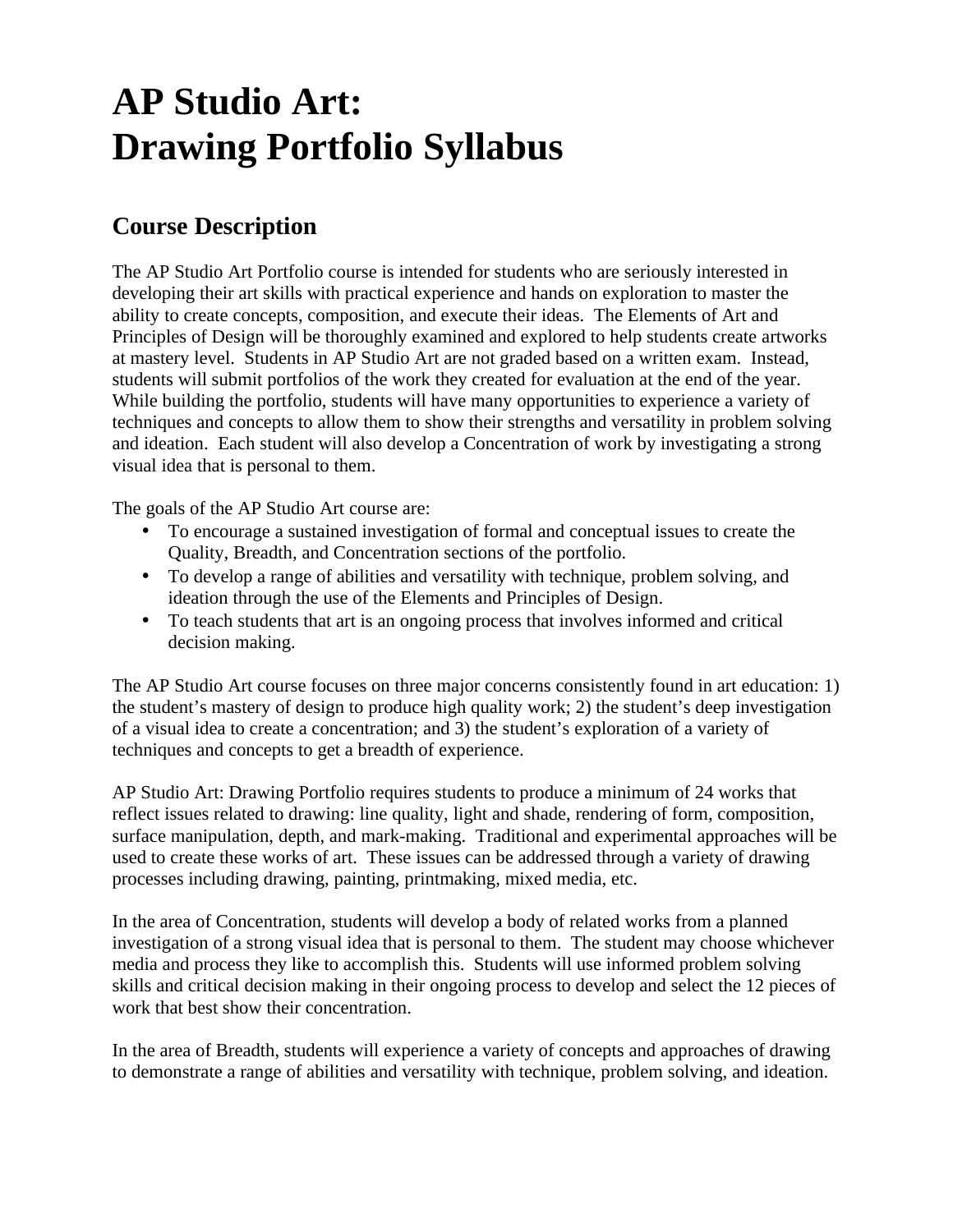# **AP Studio Art: Drawing Portfolio Syllabus**

### **Course Description**

The AP Studio Art Portfolio course is intended for students who are seriously interested in developing their art skills with practical experience and hands on exploration to master the ability to create concepts, composition, and execute their ideas. The Elements of Art and Principles of Design will be thoroughly examined and explored to help students create artworks at mastery level. Students in AP Studio Art are not graded based on a written exam. Instead, students will submit portfolios of the work they created for evaluation at the end of the year. While building the portfolio, students will have many opportunities to experience a variety of techniques and concepts to allow them to show their strengths and versatility in problem solving and ideation. Each student will also develop a Concentration of work by investigating a strong visual idea that is personal to them.

The goals of the AP Studio Art course are:

- To encourage a sustained investigation of formal and conceptual issues to create the Quality, Breadth, and Concentration sections of the portfolio.
- To develop a range of abilities and versatility with technique, problem solving, and ideation through the use of the Elements and Principles of Design.
- To teach students that art is an ongoing process that involves informed and critical decision making.

The AP Studio Art course focuses on three major concerns consistently found in art education: 1) the student's mastery of design to produce high quality work; 2) the student's deep investigation of a visual idea to create a concentration; and 3) the student's exploration of a variety of techniques and concepts to get a breadth of experience.

AP Studio Art: Drawing Portfolio requires students to produce a minimum of 24 works that reflect issues related to drawing: line quality, light and shade, rendering of form, composition, surface manipulation, depth, and mark-making. Traditional and experimental approaches will be used to create these works of art. These issues can be addressed through a variety of drawing processes including drawing, painting, printmaking, mixed media, etc.

In the area of Concentration, students will develop a body of related works from a planned investigation of a strong visual idea that is personal to them. The student may choose whichever media and process they like to accomplish this. Students will use informed problem solving skills and critical decision making in their ongoing process to develop and select the 12 pieces of work that best show their concentration.

In the area of Breadth, students will experience a variety of concepts and approaches of drawing to demonstrate a range of abilities and versatility with technique, problem solving, and ideation.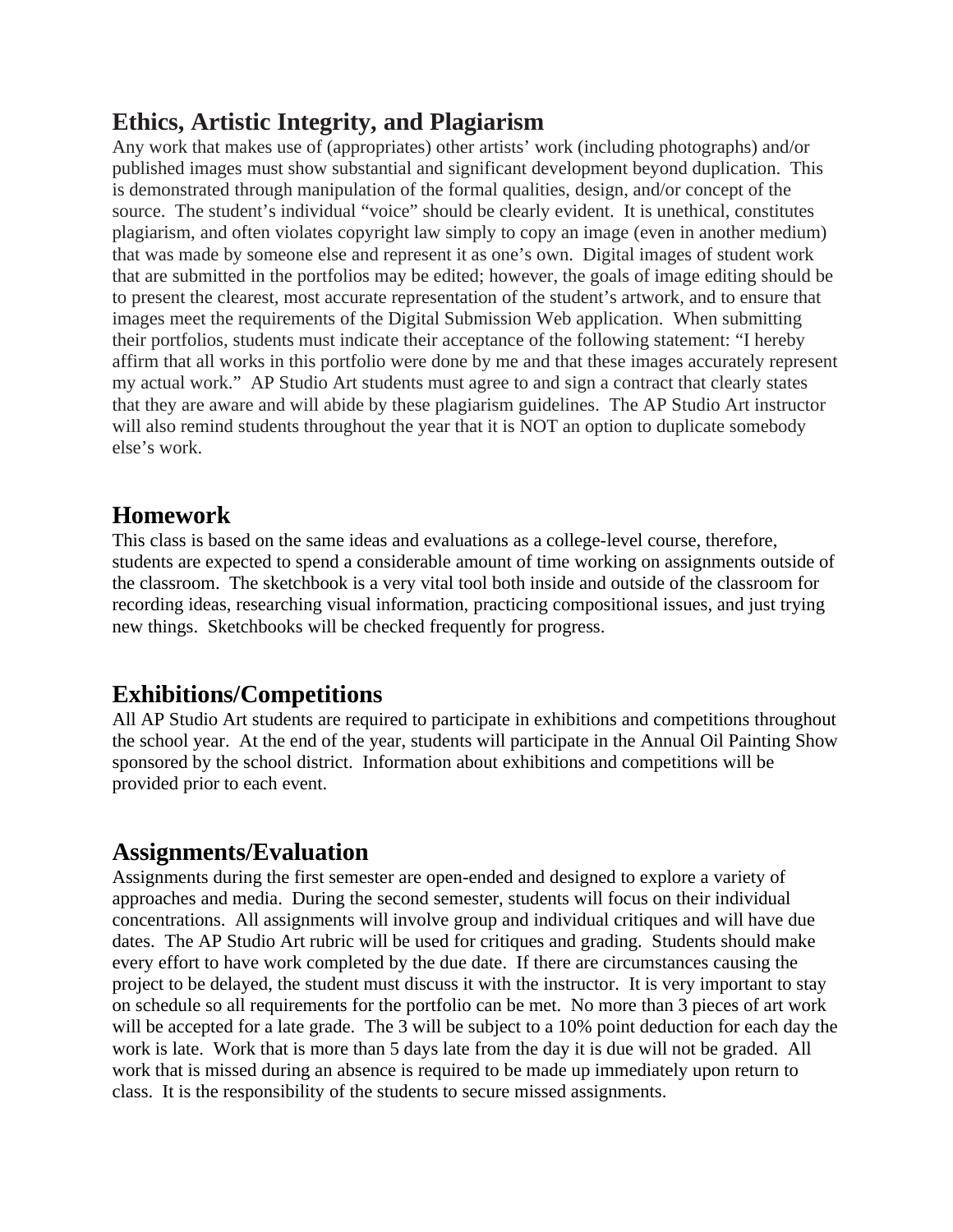### **Ethics, Artistic Integrity, and Plagiarism**

Any work that makes use of (appropriates) other artists' work (including photographs) and/or published images must show substantial and significant development beyond duplication. This is demonstrated through manipulation of the formal qualities, design, and/or concept of the source. The student's individual "voice" should be clearly evident. It is unethical, constitutes plagiarism, and often violates copyright law simply to copy an image (even in another medium) that was made by someone else and represent it as one's own. Digital images of student work that are submitted in the portfolios may be edited; however, the goals of image editing should be to present the clearest, most accurate representation of the student's artwork, and to ensure that images meet the requirements of the Digital Submission Web application. When submitting their portfolios, students must indicate their acceptance of the following statement: "I hereby affirm that all works in this portfolio were done by me and that these images accurately represent my actual work." AP Studio Art students must agree to and sign a contract that clearly states that they are aware and will abide by these plagiarism guidelines. The AP Studio Art instructor will also remind students throughout the year that it is NOT an option to duplicate somebody else's work.

### **Homework**

This class is based on the same ideas and evaluations as a college-level course, therefore, students are expected to spend a considerable amount of time working on assignments outside of the classroom. The sketchbook is a very vital tool both inside and outside of the classroom for recording ideas, researching visual information, practicing compositional issues, and just trying new things. Sketchbooks will be checked frequently for progress.

### **Exhibitions/Competitions**

All AP Studio Art students are required to participate in exhibitions and competitions throughout the school year. At the end of the year, students will participate in the Annual Oil Painting Show sponsored by the school district. Information about exhibitions and competitions will be provided prior to each event.

### **Assignments/Evaluation**

Assignments during the first semester are open-ended and designed to explore a variety of approaches and media. During the second semester, students will focus on their individual concentrations. All assignments will involve group and individual critiques and will have due dates. The AP Studio Art rubric will be used for critiques and grading. Students should make every effort to have work completed by the due date. If there are circumstances causing the project to be delayed, the student must discuss it with the instructor. It is very important to stay on schedule so all requirements for the portfolio can be met. No more than 3 pieces of art work will be accepted for a late grade. The 3 will be subject to a 10% point deduction for each day the work is late. Work that is more than 5 days late from the day it is due will not be graded. All work that is missed during an absence is required to be made up immediately upon return to class. It is the responsibility of the students to secure missed assignments.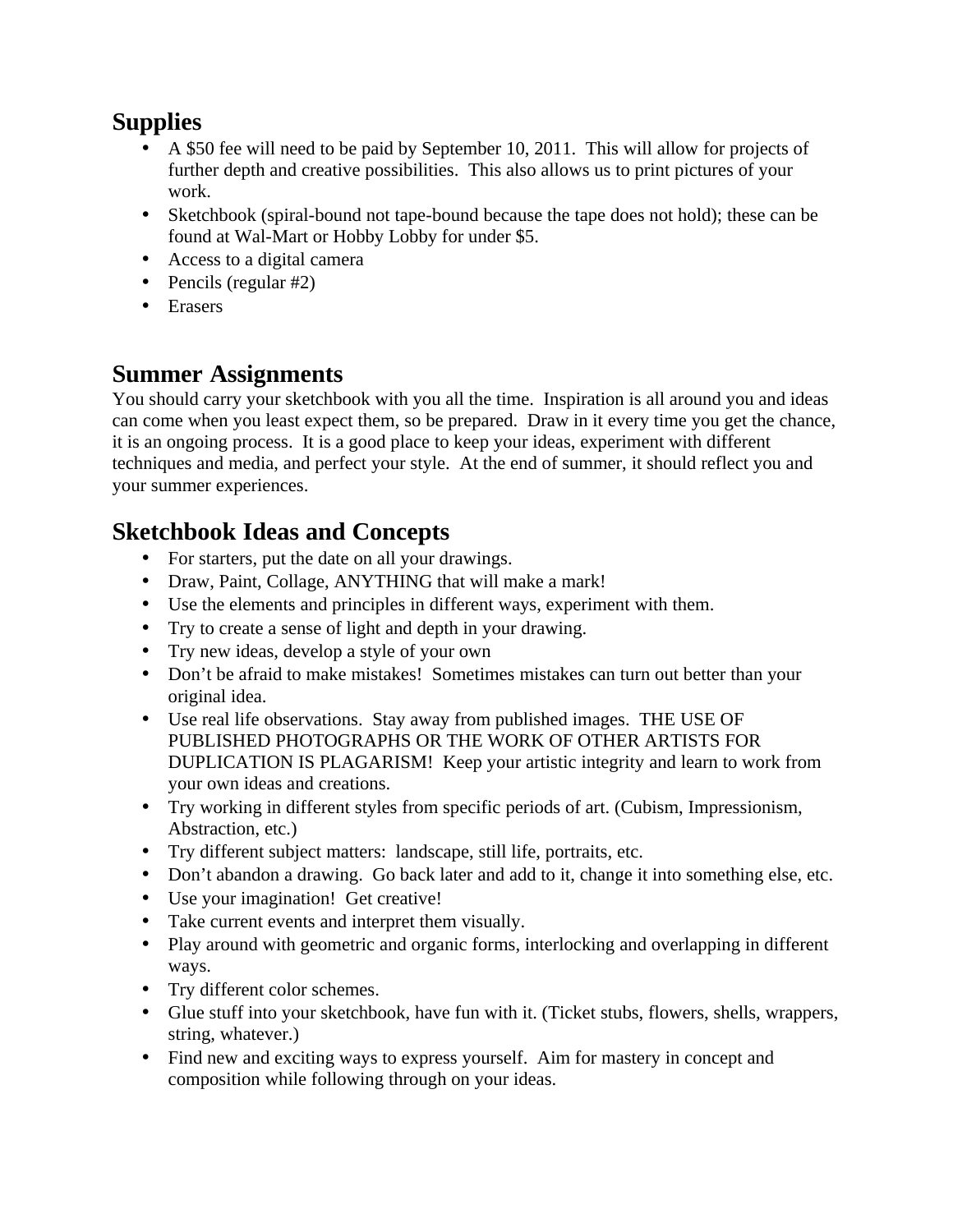### **Supplies**

- A \$50 fee will need to be paid by September 10, 2011. This will allow for projects of further depth and creative possibilities. This also allows us to print pictures of your work.
- Sketchbook (spiral-bound not tape-bound because the tape does not hold); these can be found at Wal-Mart or Hobby Lobby for under \$5.
- Access to a digital camera
- Pencils (regular #2)
- Erasers

### **Summer Assignments**

You should carry your sketchbook with you all the time. Inspiration is all around you and ideas can come when you least expect them, so be prepared. Draw in it every time you get the chance, it is an ongoing process. It is a good place to keep your ideas, experiment with different techniques and media, and perfect your style. At the end of summer, it should reflect you and your summer experiences.

## **Sketchbook Ideas and Concepts**

- For starters, put the date on all your drawings.
- Draw, Paint, Collage, ANYTHING that will make a mark!
- Use the elements and principles in different ways, experiment with them.
- Try to create a sense of light and depth in your drawing.
- Try new ideas, develop a style of your own
- Don't be afraid to make mistakes! Sometimes mistakes can turn out better than your original idea.
- Use real life observations. Stay away from published images. THE USE OF PUBLISHED PHOTOGRAPHS OR THE WORK OF OTHER ARTISTS FOR DUPLICATION IS PLAGARISM! Keep your artistic integrity and learn to work from your own ideas and creations.
- Try working in different styles from specific periods of art. (Cubism, Impressionism, Abstraction, etc.)
- Try different subject matters: landscape, still life, portraits, etc.
- Don't abandon a drawing. Go back later and add to it, change it into something else, etc.
- Use your imagination! Get creative!
- Take current events and interpret them visually.
- Play around with geometric and organic forms, interlocking and overlapping in different ways.
- Try different color schemes.
- Glue stuff into your sketchbook, have fun with it. (Ticket stubs, flowers, shells, wrappers, string, whatever.)
- Find new and exciting ways to express yourself. Aim for mastery in concept and composition while following through on your ideas.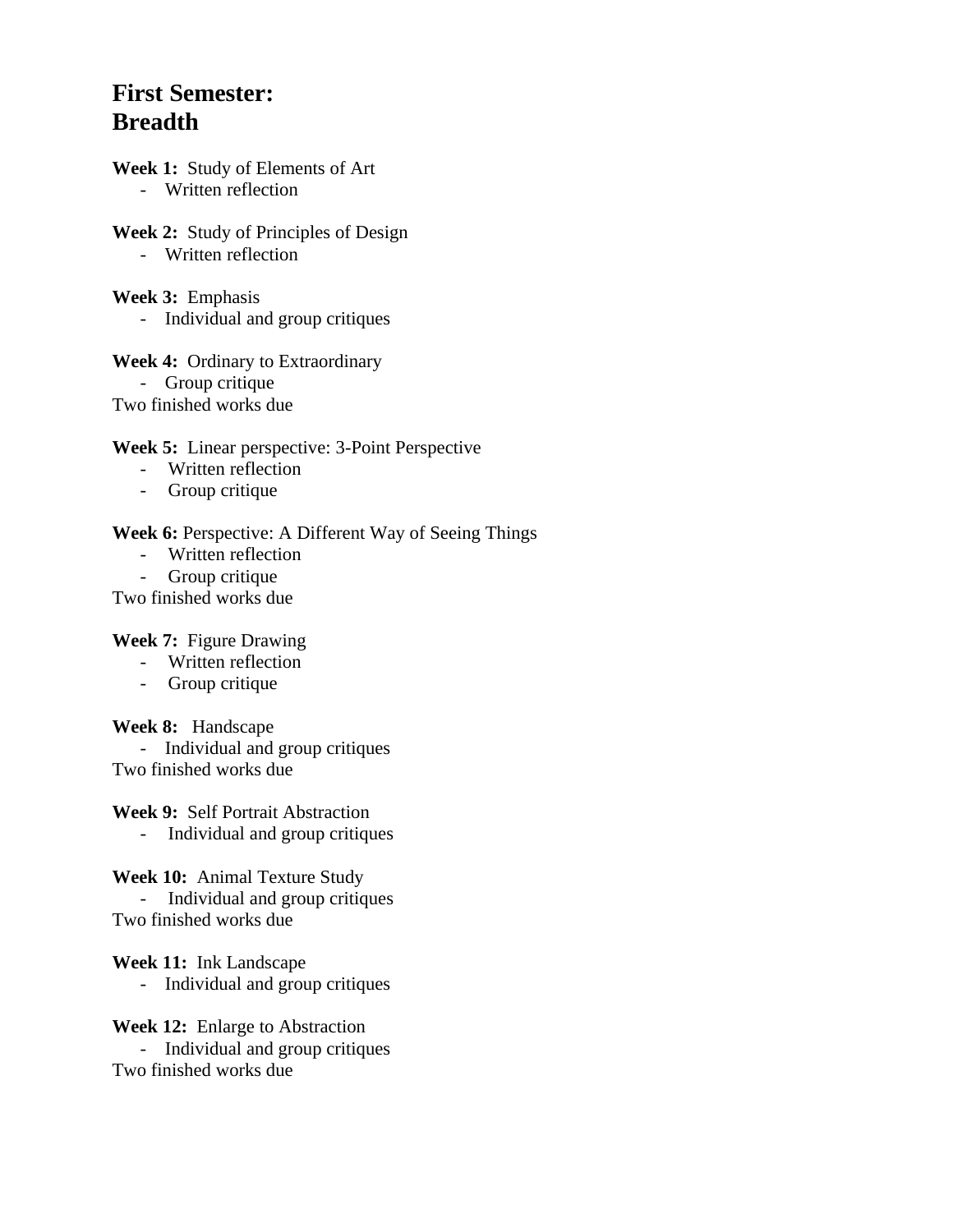### **First Semester: Breadth**

- **Week 1:** Study of Elements of Art - Written reflection
- **Week 2:** Study of Principles of Design - Written reflection
- **Week 3:** Emphasis - Individual and group critiques

**Week 4:** Ordinary to Extraordinary - Group critique Two finished works due

**Week 5:** Linear perspective: 3-Point Perspective

- Written reflection
- Group critique

**Week 6:** Perspective: A Different Way of Seeing Things

- Written reflection
- Group critique

Two finished works due

#### **Week 7:** Figure Drawing

- Written reflection
- Group critique

**Week 8:** Handscape

 - Individual and group critiques Two finished works due

**Week 9:** Self Portrait Abstraction

- Individual and group critiques

**Week 10:** Animal Texture Study - Individual and group critiques Two finished works due

**Week 11:** Ink Landscape

- Individual and group critiques

**Week 12:** Enlarge to Abstraction - Individual and group critiques Two finished works due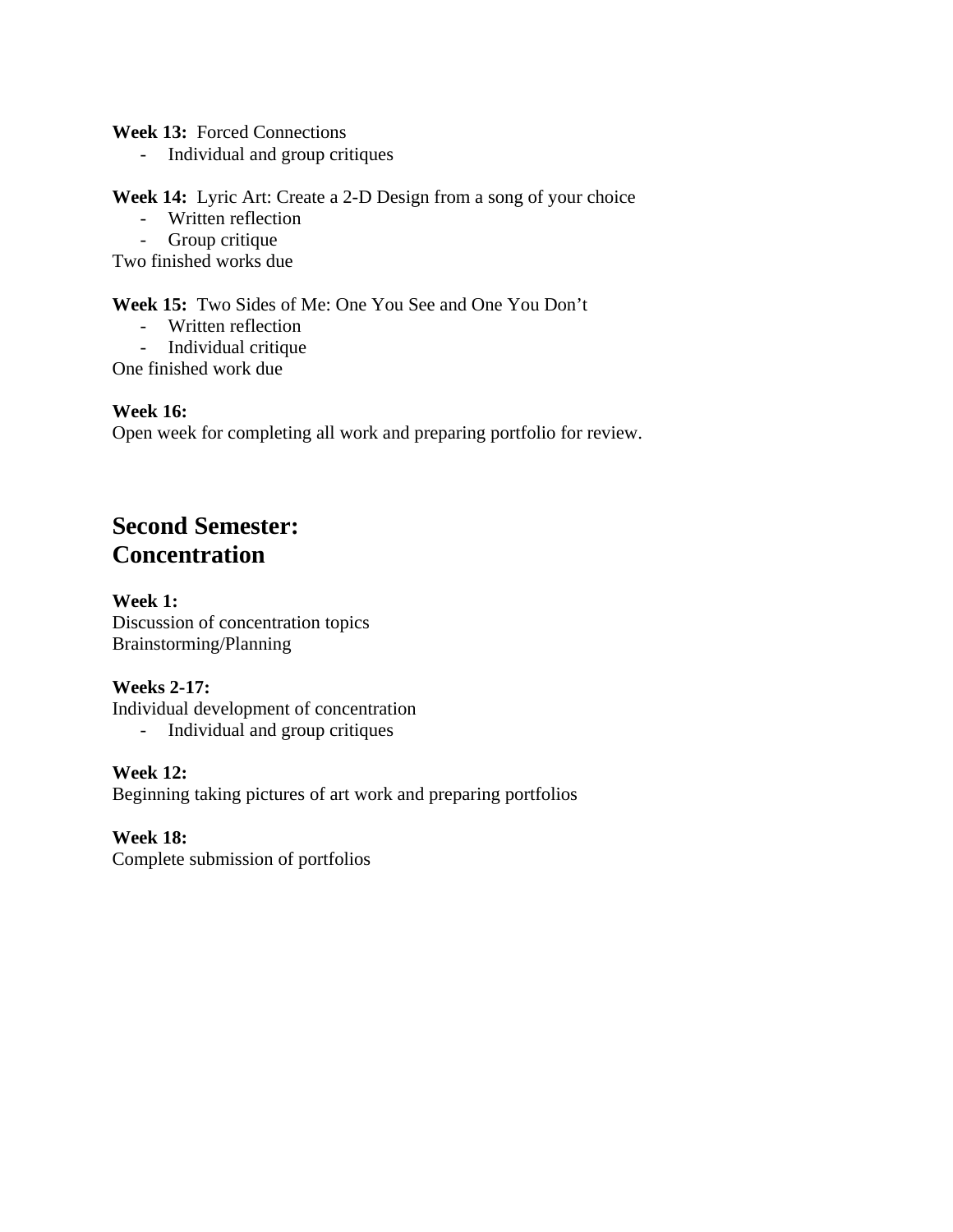**Week 13:** Forced Connections

- Individual and group critiques

**Week 14:** Lyric Art: Create a 2-D Design from a song of your choice

- Written reflection
- Group critique

Two finished works due

**Week 15:** Two Sides of Me: One You See and One You Don't

- Written reflection
- Individual critique

One finished work due

#### **Week 16:**

Open week for completing all work and preparing portfolio for review.

### **Second Semester: Concentration**

#### **Week 1:**

Discussion of concentration topics Brainstorming/Planning

#### **Weeks 2-17:**

Individual development of concentration

- Individual and group critiques

#### **Week 12:**

Beginning taking pictures of art work and preparing portfolios

#### **Week 18:**

Complete submission of portfolios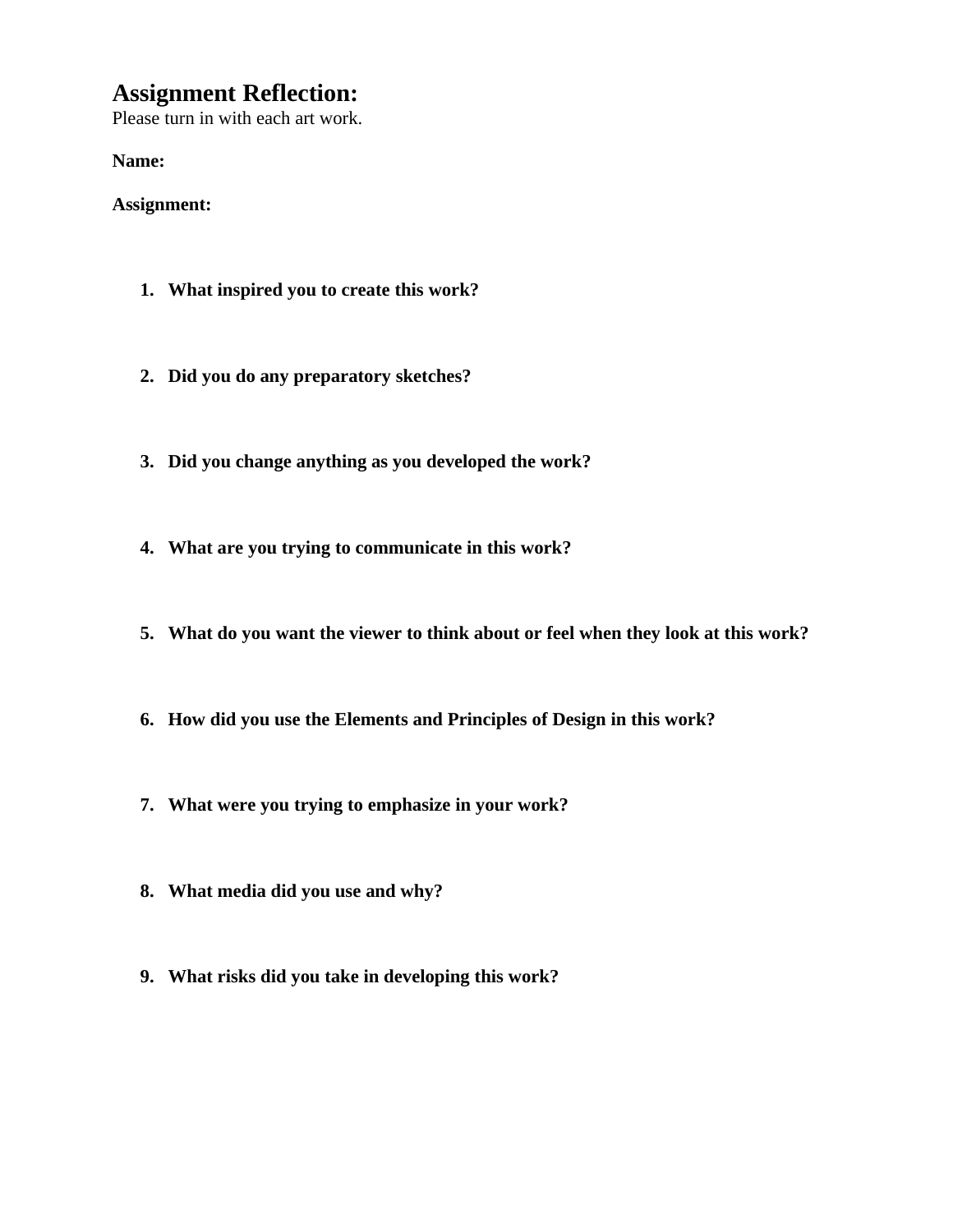### **Assignment Reflection:**

Please turn in with each art work.

**Name:**

**Assignment:**

- **1. What inspired you to create this work?**
- **2. Did you do any preparatory sketches?**
- **3. Did you change anything as you developed the work?**
- **4. What are you trying to communicate in this work?**
- **5. What do you want the viewer to think about or feel when they look at this work?**
- **6. How did you use the Elements and Principles of Design in this work?**
- **7. What were you trying to emphasize in your work?**
- **8. What media did you use and why?**
- **9. What risks did you take in developing this work?**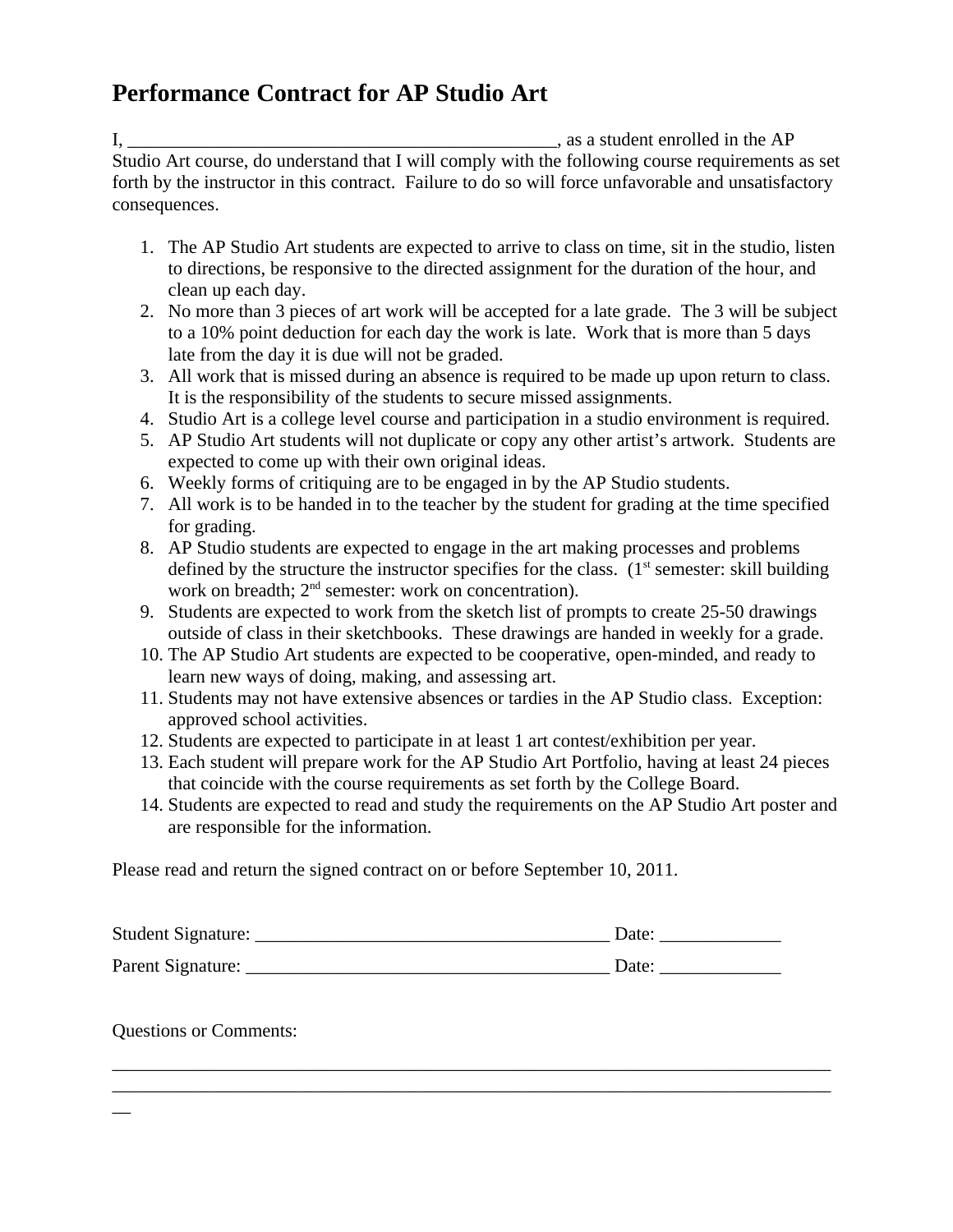### **Performance Contract for AP Studio Art**

I, \_\_\_\_\_\_\_\_\_\_\_\_\_\_\_\_\_\_\_\_\_\_\_\_\_\_\_\_\_\_\_\_\_\_\_\_\_\_\_\_\_\_\_\_\_\_, as a student enrolled in the AP Studio Art course, do understand that I will comply with the following course requirements as set forth by the instructor in this contract. Failure to do so will force unfavorable and unsatisfactory consequences.

- 1. The AP Studio Art students are expected to arrive to class on time, sit in the studio, listen to directions, be responsive to the directed assignment for the duration of the hour, and clean up each day.
- 2. No more than 3 pieces of art work will be accepted for a late grade. The 3 will be subject to a 10% point deduction for each day the work is late. Work that is more than 5 days late from the day it is due will not be graded.
- 3. All work that is missed during an absence is required to be made up upon return to class. It is the responsibility of the students to secure missed assignments.
- 4. Studio Art is a college level course and participation in a studio environment is required.
- 5. AP Studio Art students will not duplicate or copy any other artist's artwork. Students are expected to come up with their own original ideas.
- 6. Weekly forms of critiquing are to be engaged in by the AP Studio students.
- 7. All work is to be handed in to the teacher by the student for grading at the time specified for grading.
- 8. AP Studio students are expected to engage in the art making processes and problems defined by the structure the instructor specifies for the class.  $(1<sup>st</sup>$  semester: skill building work on breadth;  $2<sup>nd</sup>$  semester: work on concentration).
- 9. Students are expected to work from the sketch list of prompts to create 25-50 drawings outside of class in their sketchbooks. These drawings are handed in weekly for a grade.
- 10. The AP Studio Art students are expected to be cooperative, open-minded, and ready to learn new ways of doing, making, and assessing art.
- 11. Students may not have extensive absences or tardies in the AP Studio class. Exception: approved school activities.
- 12. Students are expected to participate in at least 1 art contest/exhibition per year.
- 13. Each student will prepare work for the AP Studio Art Portfolio, having at least 24 pieces that coincide with the course requirements as set forth by the College Board.
- 14. Students are expected to read and study the requirements on the AP Studio Art poster and are responsible for the information.

Please read and return the signed contract on or before September 10, 2011.

| Student Signature: | Date: |
|--------------------|-------|
| Parent Signature:  | Date: |

 $\_$  , and the set of the set of the set of the set of the set of the set of the set of the set of the set of the set of the set of the set of the set of the set of the set of the set of the set of the set of the set of th \_\_\_\_\_\_\_\_\_\_\_\_\_\_\_\_\_\_\_\_\_\_\_\_\_\_\_\_\_\_\_\_\_\_\_\_\_\_\_\_\_\_\_\_\_\_\_\_\_\_\_\_\_\_\_\_\_\_\_\_\_\_\_\_\_\_\_\_\_\_\_\_\_\_\_\_\_

Questions or Comments:

 $\overline{a}$